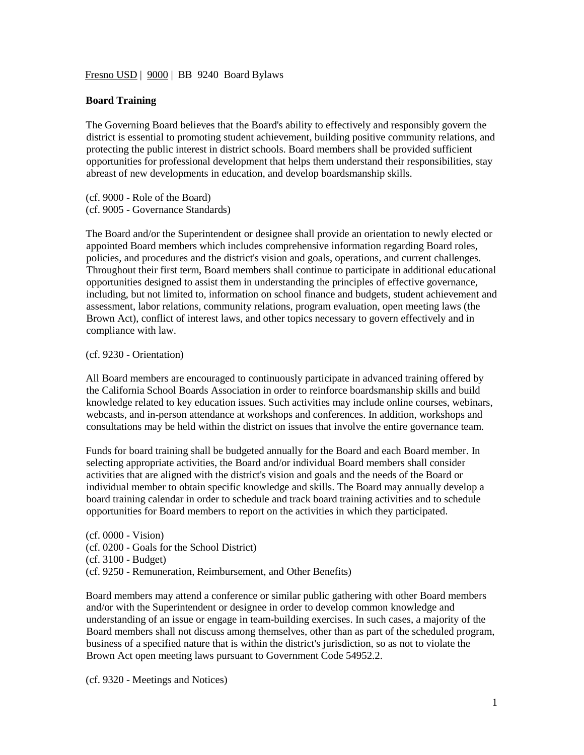Fresno USD | 9000 | BB 9240 Board Bylaws

## **Board Training**

The Governing Board believes that the Board's ability to effectively and responsibly govern the district is essential to promoting student achievement, building positive community relations, and protecting the public interest in district schools. Board members shall be provided sufficient opportunities for professional development that helps them understand their responsibilities, stay abreast of new developments in education, and develop boardsmanship skills.

(cf. 9000 - Role of the Board) (cf. 9005 - Governance Standards)

The Board and/or the Superintendent or designee shall provide an orientation to newly elected or appointed Board members which includes comprehensive information regarding Board roles, policies, and procedures and the district's vision and goals, operations, and current challenges. Throughout their first term, Board members shall continue to participate in additional educational opportunities designed to assist them in understanding the principles of effective governance, including, but not limited to, information on school finance and budgets, student achievement and assessment, labor relations, community relations, program evaluation, open meeting laws (the Brown Act), conflict of interest laws, and other topics necessary to govern effectively and in compliance with law.

## (cf. 9230 - Orientation)

All Board members are encouraged to continuously participate in advanced training offered by the California School Boards Association in order to reinforce boardsmanship skills and build knowledge related to key education issues. Such activities may include online courses, webinars, webcasts, and in-person attendance at workshops and conferences. In addition, workshops and consultations may be held within the district on issues that involve the entire governance team.

Funds for board training shall be budgeted annually for the Board and each Board member. In selecting appropriate activities, the Board and/or individual Board members shall consider activities that are aligned with the district's vision and goals and the needs of the Board or individual member to obtain specific knowledge and skills. The Board may annually develop a board training calendar in order to schedule and track board training activities and to schedule opportunities for Board members to report on the activities in which they participated.

(cf. 0000 - Vision) (cf. 0200 - Goals for the School District) (cf. 3100 - Budget) (cf. 9250 - Remuneration, Reimbursement, and Other Benefits)

Board members may attend a conference or similar public gathering with other Board members and/or with the Superintendent or designee in order to develop common knowledge and understanding of an issue or engage in team-building exercises. In such cases, a majority of the Board members shall not discuss among themselves, other than as part of the scheduled program, business of a specified nature that is within the district's jurisdiction, so as not to violate the Brown Act open meeting laws pursuant to Government Code 54952.2.

(cf. 9320 - Meetings and Notices)